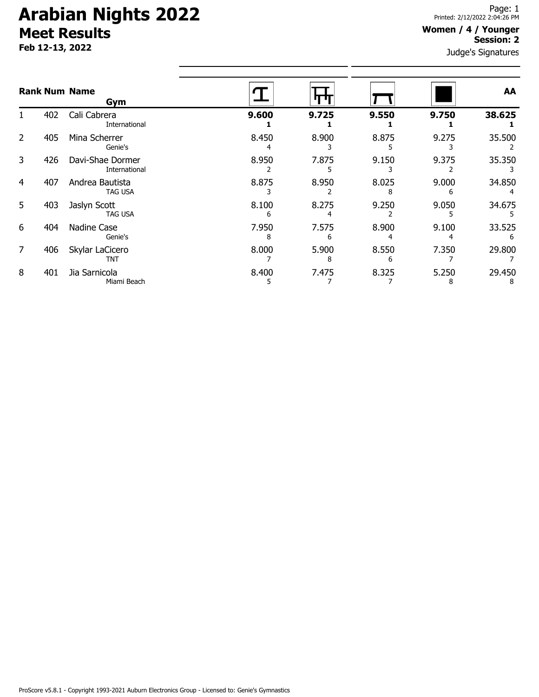# **Arabian Nights 2022 Meet Results**

**Feb 12-13, 2022**

#### **Women / 4 / Younger Session: 2**

Judge's Signatures

|   |     | <b>Rank Num Name</b><br>Gym       |            |            |       |       | AA          |
|---|-----|-----------------------------------|------------|------------|-------|-------|-------------|
|   | 402 | Cali Cabrera<br>International     | 9.600      | 9.725      | 9.550 | 9.750 | 38.625      |
| 2 | 405 | Mina Scherrer<br>Genie's          | 8.450      | 8.900      | 8.875 | 9.275 | 35.500      |
| 3 | 426 | Davi-Shae Dormer<br>International | 8.950      | 7.875      | 9.150 | 9.375 | 35.350      |
| 4 | 407 | Andrea Bautista<br>TAG USA        | 8.875      | 8.950      | 8.025 | 9.000 | 34.850      |
| 5 | 403 | Jaslyn Scott<br><b>TAG USA</b>    | 8.100<br>h | 8.275      | 9.250 | 9.050 | 34.675      |
| 6 | 404 | Nadine Case<br>Genie's            | 7.950<br>8 | 7.575<br>6 | 8.900 | 9.100 | 33.525<br>6 |
| 7 | 406 | Skylar LaCicero<br><b>TNT</b>     | 8.000      | 5.900<br>8 | 8.550 | 7.350 | 29.800      |
| 8 | 401 | Jia Sarnicola<br>Miami Beach      | 8.400      | 7.475      | 8.325 | 5.250 | 29.450<br>8 |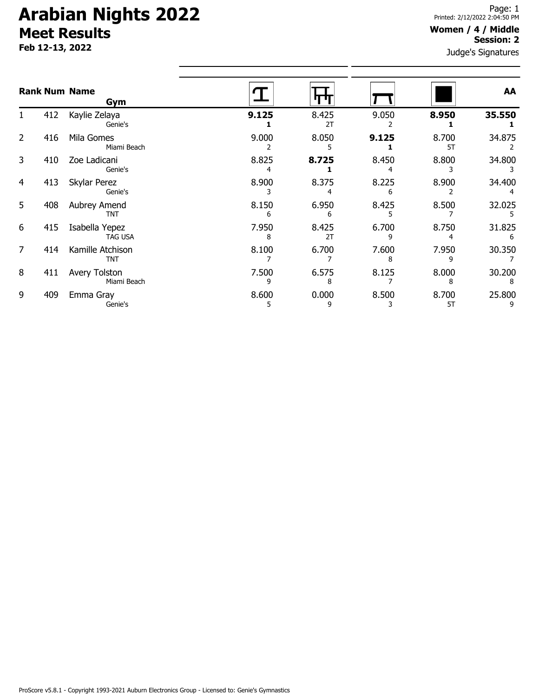# **Arabian Nights 2022 Meet Results**

**Feb 12-13, 2022**

#### **Women / 4 / Middle Session: 2**

Judge's Signatures

| <b>Rank Num Name</b><br>Gym |     |                                  |            |             |            |             | AA          |
|-----------------------------|-----|----------------------------------|------------|-------------|------------|-------------|-------------|
|                             | 412 | Kaylie Zelaya<br>Genie's         | 9.125      | 8.425<br>2T | 9.050      | 8.950       | 35.550      |
| $\overline{2}$              | 416 | Mila Gomes<br>Miami Beach        | 9.000      | 8.050       | 9.125      | 8.700<br>5T | 34.875      |
| 3                           | 410 | Zoe Ladicani<br>Genie's          | 8.825      | 8.725       | 8.450      | 8.800       | 34.800      |
| 4                           | 413 | Skylar Perez<br>Genie's          | 8.900      | 8.375       | 8.225<br>6 | 8.900       | 34.400      |
| 5                           | 408 | Aubrey Amend<br><b>TNT</b>       | 8.150<br>6 | 6.950<br>6  | 8.425      | 8.500       | 32.025      |
| 6                           | 415 | Isabella Yepez<br><b>TAG USA</b> | 7.950<br>8 | 8.425<br>2T | 6.700<br>9 | 8.750<br>4  | 31.825<br>6 |
| $\overline{7}$              | 414 | Kamille Atchison<br><b>TNT</b>   | 8.100      | 6.700       | 7.600<br>8 | 7.950<br>٩  | 30.350      |
| 8                           | 411 | Avery Tolston<br>Miami Beach     | 7.500<br>9 | 6.575<br>8  | 8.125      | 8.000<br>8  | 30.200<br>8 |
| 9                           | 409 | Emma Gray<br>Genie's             | 8.600<br>5 | 0.000<br>9  | 8.500      | 8.700<br>5T | 25.800<br>9 |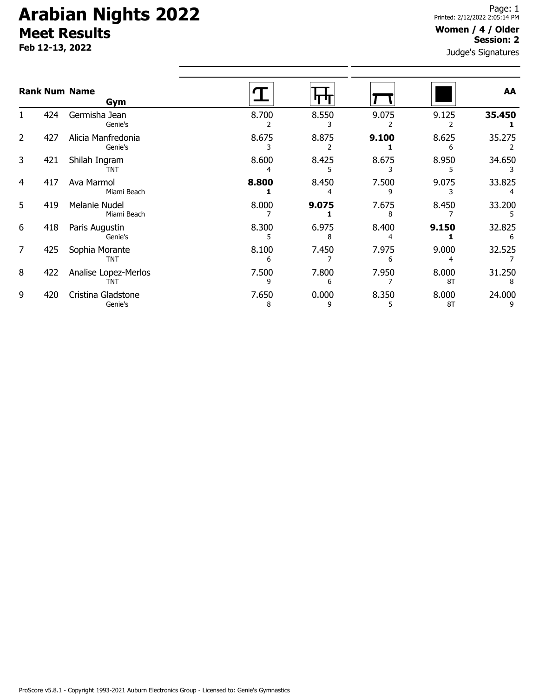# **Arabian Nights 2022 Meet Results**

**Feb 12-13, 2022**

#### **Women / 4 / Older Session: 2**

Judge's Signatures

| <b>Rank Num Name</b> |     | Gym                           |            |            |            |             | AA          |
|----------------------|-----|-------------------------------|------------|------------|------------|-------------|-------------|
|                      | 424 | Germisha Jean<br>Genie's      | 8.700      | 8.550      | 9.075      | 9.125       | 35.450      |
| 2                    | 427 | Alicia Manfredonia<br>Genie's | 8.675      | 8.875      | 9.100      | 8.625       | 35.275      |
| 3                    | 421 | Shilah Ingram<br><b>TNT</b>   | 8.600      | 8.425      | 8.675      | 8.950       | 34.650      |
| 4                    | 417 | Ava Marmol<br>Miami Beach     | 8.800      | 8.450      | 7.500      | 9.075       | 33.825      |
| 5                    | 419 | Melanie Nudel<br>Miami Beach  | 8.000      | 9.075      | 7.675      | 8.450       | 33.200      |
| 6                    | 418 | Paris Augustin<br>Genie's     | 8.300<br>5 | 6.975<br>8 | 8.400<br>4 | 9.150       | 32.825<br>6 |
| 7                    | 425 | Sophia Morante<br><b>TNT</b>  | 8.100<br>6 | 7.450      | 7.975      | 9.000       | 32.525      |
| 8                    | 422 | Analise Lopez-Merlos<br>TNT   | 7.500<br>٩ | 7.800<br>6 | 7.950      | 8.000<br>8T | 31.250      |
| 9                    | 420 | Cristina Gladstone<br>Genie's | 7.650<br>8 | 0.000<br>9 | 8.350      | 8.000<br>8T | 24.000      |